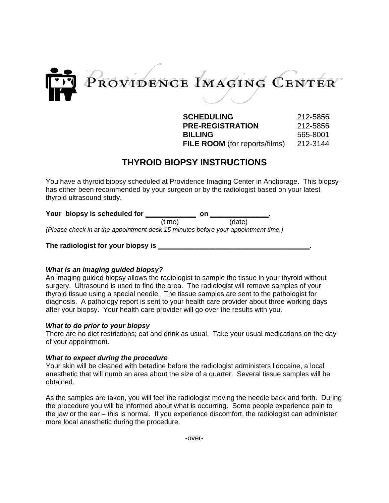

**SCHEDULING** 212-5856 **PRE-REGISTRATION** 212-5856 **BILLING** 565-8001 **FILE ROOM** (for reports/films) 212-3144

# **THYROID BIOPSY INSTRUCTIONS**

You have a thyroid biopsy scheduled at Providence Imaging Center in Anchorage. This biopsy has either been recommended by your surgeon or by the radiologist based on your latest thyroid ultrasound study.

| Your biopsy is scheduled for                                                       |        | on     |  |
|------------------------------------------------------------------------------------|--------|--------|--|
|                                                                                    | (time) | (date) |  |
| (Please check in at the appointment desk 15 minutes before your appointment time.) |        |        |  |

# **The radiologist for your biopsy is \_\_\_\_\_\_\_\_\_\_\_\_\_\_\_\_\_\_\_\_\_\_\_\_\_\_\_\_\_\_\_\_\_\_\_\_\_\_\_.**

### *What is an imaging guided biopsy?*

An imaging guided biopsy allows the radiologist to sample the tissue in your thyroid without surgery. Ultrasound is used to find the area. The radiologist will remove samples of your thyroid tissue using a special needle. The tissue samples are sent to the pathologist for diagnosis. A pathology report is sent to your health care provider about three working days after your biopsy. Your health care provider will go over the results with you.

### *What to do prior to your biopsy*

There are no diet restrictions; eat and drink as usual. Take your usual medications on the day of your appointment.

### *What to expect during the procedure*

Your skin will be cleaned with betadine before the radiologist administers lidocaine, a local anesthetic that will numb an area about the size of a quarter. Several tissue samples will be obtained.

As the samples are taken, you will feel the radiologist moving the needle back and forth. During the procedure you will be informed about what is occurring. Some people experience pain to the jaw or the ear – this is normal. If you experience discomfort, the radiologist can administer more local anesthetic during the procedure.